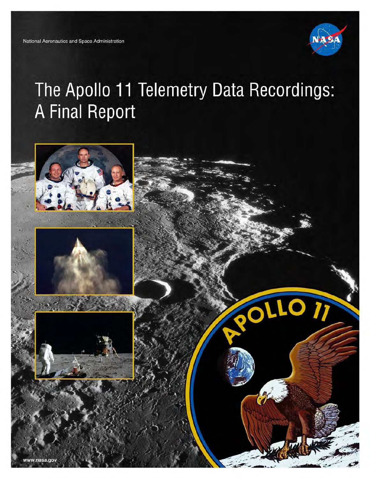

# The Apollo 11 Telemetry Data Recordings: **A Final Report**

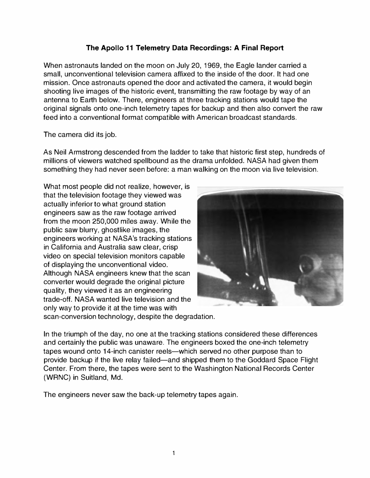#### The Apollo 11 Telemetry Data Recordings: A Final Report

When astronauts landed on the moon on July 20, 1969, the Eagle lander carried a small, unconventional television camera affixed to the inside of the door. It had one mission. Once astronauts opened the door and activated the camera, it would begin shooting live images of the historic event, transmitting the raw footage by way of an antenna to Earth below. There, engineers at three tracking stations would tape the original signals onto one-inch telemetry tapes for backup and then also convert the raw feed into a conventional format compatible with American broadcast standards.

The camera did its job.

(WRNC) in Suitland, Md.

As Neil Armstrong descended from the ladder to take that historic first step, hundreds of millions of viewers watched spellbound as the drama unfolded. NASA had given them something they had never seen before: a man walking on the moon via live television.

What most people did not realize, however, is that the television footage they viewed was actually inferior to what ground station engineers saw as the raw footage arrived from the moon 250,000 miles away. While the public saw blurry, ghostlike images, the engineers working at NASA's tracking stations in California and Australia saw clear, crisp video on special television monitors capable of displaying the unconventional video. Although NASA engineers knew that the scan converter would degrade the original picture quality, they viewed it as an engineering trade-off. NASA wanted live television and the only way to provide it at the time was with scan-conversion technology, despite the degradation.



In the triumph of the day, no one at the tracking stations considered these differences and certainly the public was unaware. The engineers boxed the one-inch telemetry tapes wound onto 14-inch canister reels—which served no other purpose than to provide backup if the live relay failed-and shipped them to the Goddard Space Flight Center. From there, the tapes were sent to the Washington National Records Center

The engineers never saw the back-up telemetry tapes again.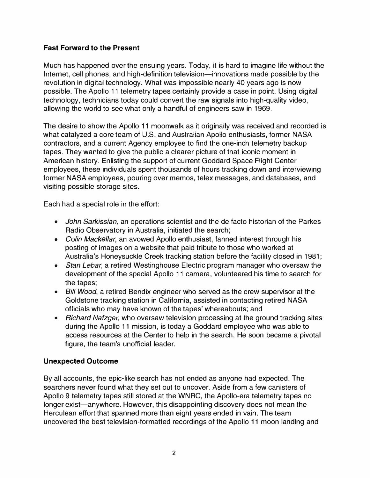#### Fast Forward to the Present

Much has happened over the ensuing years. Today, it is hard to imagine life without the Internet, cell phones, and high-definition television-innovations made possible by the revolution in digital technology. What was impossible nearly 40 years ago is now possible. The Apollo 11 telemetry tapes certainly provide a case in point. Using digital technology, technicians today could convert the raw signals into high-quality video, allowing the world to see what only a handful of engineers saw in 1969.

The desire to show the Apollo 11 moonwalk as it originally was received and recorded is what catalyzed a core team of U.S. and Australian Apollo enthusiasts, former NASA contractors, and a current Agency employee to find the one-inch telemetry backup tapes. They wanted to give the public a clearer picture of that iconic moment in American history. Enlisting the support of current Goddard Space Flight Center employees, these individuals spent thousands of hours tracking down and interviewing former NASA employees, pouring over memos, telex messages, and databases, and visiting possible storage sites.

Each had a special role in the effort:

- John Sarkissian, an operations scientist and the de facto historian of the Parkes Radio Observatory in Australia, initiated the search;
- Colin Mackellar, an avowed Apollo enthusiast, fanned interest through his posting of images on a website that paid tribute to those who worked at Australia's Honeysuckle Creek tracking station before the facility closed in 1981;
- Stan Lebar, a retired Westinghouse Electric program manager who oversaw the development of the special Apollo 11 camera, volunteered his time to search for the tapes;
- Bill Wood, a retired Bendix engineer who served as the crew supervisor at the Goldstone tracking station in California, assisted in contacting retired NASA officials who may have known of the tapes' whereabouts; and
- Richard Nafzger, who oversaw television processing at the ground tracking sites during the Apollo 11 mission, is today a Goddard employee who was able to access resources at the Center to help in the search. He soon became a pivotal figure, the team's unofficial leader.

## Unexpected Outcome

By all accounts, the epic-like search has not ended as anyone had expected. The searchers never found what they set out to uncover. Aside from a few canisters of Apollo 9 telemetry tapes still stored at the WNRC, the Apollo-era telemetry tapes no longer exist-anywhere. However, this disappointing discovery does not mean the Herculean effort that spanned more than eight years ended in vain. The team uncovered the best television-formatted recordings of the Apollo 11 moon landing and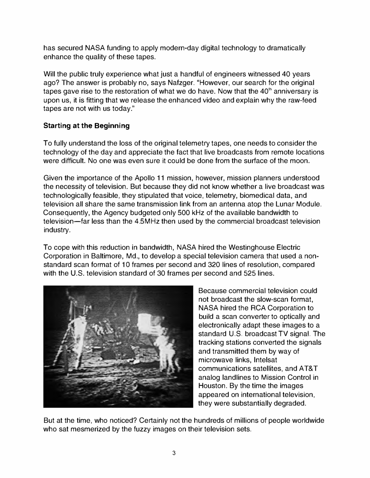has secured NASA funding to apply modern-day digital technology to dramatically enhance the quality of these tapes.

Will the public truly experience what just a handful of engineers witnessed 40 years ago? The answer is probably no, says Nafzger. "However, our search for the original tapes gave rise to the restoration of what we do have. Now that the  $40<sup>th</sup>$  anniversary is upon us, it is fitting that we release the enhanced video and explain why the raw-feed tapes are not with us today."

# Starting at the Beginning

To fully understand the loss of the original telemetry tapes, one needs to consider the technology of the day and appreciate the fact that live broadcasts from remote locations were difficult. No one was even sure it could be done from the surface of the moon.

Given the importance of the Apollo 11 mission, however, mission planners understood the necessity of television. But because they did not know whether a live broadcast was technologically feasible, they stipulated that voice, telemetry, biomedical data, and television all share the same transmission link from an antenna atop the Lunar Module. Consequently, the Agency budgeted only 500 kHz of the available bandwidth to television-far less than the 4.5MHz then used by the commercial broadcast television industry.

To cope with this reduction in bandwidth, NASA hired the Westinghouse Electric Corporation in Baltimore, Md., to develop a special television camera that used a nonstandard scan format of 10 frames per second and 320 lines of resolution, compared with the U.S. television standard of 30 frames per second and 525 lines.



Because commercial television could not broadcast the slow-scan format, NASA hired the RCA Corporation to build a scan converter to optically and electronically adapt these images to a standard U.S. broadcast TV signal. The tracking stations converted the signals and transmitted them by way of microwave links, Intelsat communications satellites, and AT&T analog landlines to Mission Control in Houston. By the time the images appeared on international television, they were substantially degraded.

But at the time, who noticed? Certainly not the hundreds of millions of people worldwide who sat mesmerized by the fuzzy images on their television sets.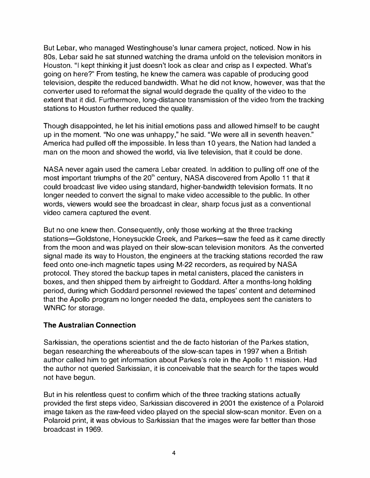But Lebar, who managed Westinghouse's lunar camera project, noticed. Now in his 80s, Lebar said he sat stunned watching the drama unfold on the television monitors in Houston. "I kept thinking it just doesn't look as clear and crisp as I expected. What's going on here?" From testing, he knew the camera was capable of producing good television, despite the reduced bandwidth. What he did not know, however, was that the converter used to reformat the signal would degrade the quality of the video to the extent that it did. Furthermore, long-distance transmission of the video from the tracking stations to Houston further reduced the quality.

Though disappointed, he let his initial emotions pass and allowed himself to be caught up in the moment. "No one was unhappy," he said. "We were all in seventh heaven." America had pulled off the impossible. In less than 10 years, the Nation had landed a man on the moon and showed the world, via live television, that it could be done.

NASA never again used the camera Lebar created. In addition to pulling off one of the most important triumphs of the 20<sup>th</sup> century, NASA discovered from Apollo 11 that it could broadcast live video using standard, higher-bandwidth television formats. It no longer needed to convert the signal to make video accessible to the public. In other words, viewers would see the broadcast in clear, sharp focus just as a conventional video camera captured the event.

But no one knew then. Consequently, only those working at the three tracking stations-Goldstone, Honeysuckle Creek, and Parkes-saw the feed as it came directly from the moon and was played on their slow-scan television monitors. As the converted signal made its way to Houston, the engineers at the tracking stations recorded the raw feed onto one-inch magnetic tapes using M-22 recorders, as required by NASA protocol. They stored the backup tapes in metal canisters, placed the canisters in boxes, and then shipped them by airfreight to Goddard. After a months-long holding period, during which Goddard personnel reviewed the tapes' content and determined that the Apollo program no longer needed the data, employees sent the canisters to WNRC for storage.

#### The Australian Connection

Sarkissian, the operations scientist and the de facto historian of the Parkes station, began researching the whereabouts of the slow-scan tapes in 1997 when a British author called him to get information about Parkes's role in the Apollo 11 mission. Had the author not queried Sarkissian, it is conceivable that the search for the tapes would not have begun.

But in his relentless quest to confirm which of the three tracking stations actually provided the first steps video, Sarkissian discovered in 2001 the existence of a Polaroid image taken as the raw-feed video played on the special slow-scan monitor. Even on a Polaroid print, it was obvious to Sarkissian that the images were far better than those broadcast in 1969.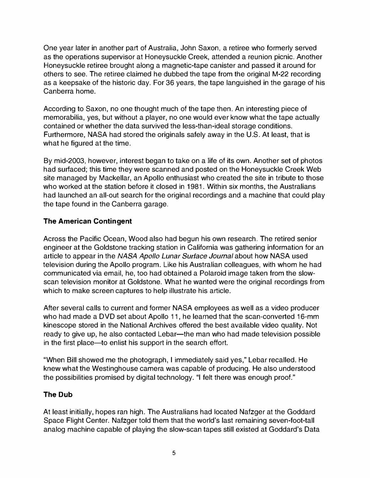One year later in another part of Australia, John Saxon, a retiree who formerly served as the operations supervisor at Honeysuckle Creek, attended a reunion picnic. Another Honeysuckle retiree brought along a magnetic-tape canister and passed it around for others to see. The retiree claimed he dubbed the tape from the original M-22 recording as a keepsake of the historic day. For 36 years, the tape languished in the garage of his Canberra home.

According to Saxon, no one thought much of the tape then. An interesting piece of memorabilia, yes, but without a player, no one would ever know what the tape actually contained or whether the data survived the less-than-ideal storage conditions. Furthermore, NASA had stored the originals safely away in the U.S. At least, that is what he figured at the time.

By mid-2003, however, interest began to take on a life of its own. Another set of photos had surfaced; this time they were scanned and posted on the Honeysuckle Creek Web site managed by Mackellar, an Apollo enthusiast who created the site in tribute to those who worked at the station before it closed in 1981. Within six months, the Australians had launched an all-out search for the original recordings and a machine that could play the tape found in the Canberra garage.

## The American Contingent

Across the Pacific Ocean, Wood also had begun his own research. The retired senior engineer at the Goldstone tracking station in California was gathering information for an article to appear in the NASA Apollo Lunar Surface Journal about how NASA used television during the Apollo program. Like his Australian colleagues, with whom he had communicated via email, he, too had obtained a Polaroid image taken from the slowscan television monitor at Goldstone. What he wanted were the original recordings from which to make screen captures to help illustrate his article.

After several calls to current and former NASA employees as well as a video producer who had made a DVD set about Apollo 11, he leamed that the scan-converted 16-mm kinescope stored in the National Archives offered the best available video quality. Not ready to give up, he also contacted Lebar-the man who had made television possible in the first place—to enlist his support in the search effort.

"When Bill showed me the photograph, I immediately said yes," Lebar recalled. He knew what the Westinghouse camera was capable of producing. He also understood the possibilities promised by digital technology. "I felt there was enough proof."

## The Dub

At least initially, hopes ran high. The Australians had located Nafzger at the Goddard Space Flight Center. Nafzger told them that the world's last remaining seven-foot-tall analog machine capable of playing the slow-scan tapes still existed at Goddard's Data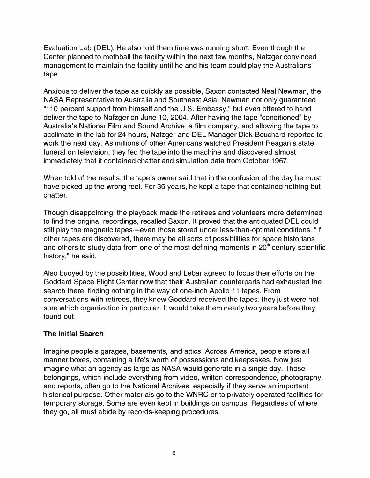Evaluation Lab (DEL). He also told them time was running short. Even though the Center planned to mothball the facility within the next few months, Nafzger convinced management to maintain the facility until he and his team could play the Australians' tape.

Anxious to deliver the tape as quickly as possible, Saxon contacted Neal Newman, the NASA Representative to Australia and Southeast Asia. Newman not only guaranteed "110 percent support from himself and the U.S. Embassy," but even offered to hand deliver the tape to Nafzger on June 10, 2004. After having the tape "conditioned" by Australia's National Film and Sound Archive, a film company, and allowing the tape to acclimate in the lab for 24 hours, Nafzger and DEL Manager Dick Bouchard reported to work the next day. As millions of other Americans watched President Reagan's state funeral on television, they fed the tape into the machine and discovered almost immediately that it contained chatter and simulation data from October 1967.

When told of the results, the tape's owner said that in the confusion of the day he must have picked up the wrong reel. For 36 years, he kept a tape that contained nothing but chatter.

Though disappointing, the playback made the retirees and volunteers more determined to find the original recordings, recalled Saxon. It proved that the antiquated DEL could still play the magnetic tapes-even those stored under less-than-optimal conditions. "If other tapes are discovered, there may be all sorts of possibilities for space historians and others to study data from one of the most defining moments in 20<sup>th</sup> century scientific history," he said.

Also buoyed by the possibilities, Wood and Lebar agreed to focus their efforts on the Goddard Space Flight Center now that their Australian counterparts had exhausted the search there, finding nothing in the way of one-inch Apollo 11 tapes. From conversations with retirees, they knew Goddard received the tapes; they just were not sure which organization in particular. It would take them nearly two years before they found out.

## The Initial Search

Imagine people's garages, basements, and attics. Across America, people store all manner boxes, containing a life's worth of possessions and keepsakes. Now just imagine what an agency as large as NASA would generate in a single day. Those belongings, which include everything from video, written correspondence, photography, and reports, often go to the National Archives, especially if they serve an important historical purpose. Other materials go to the WNRC or to privately operated facilities for temporary storage. Some are even kept in buildings on campus. Regardless of where they go, all must abide by records-keeping procedures.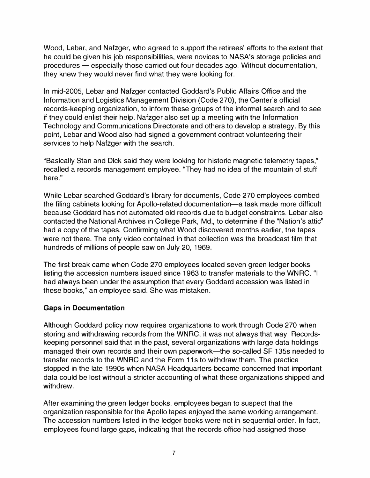Wood, Lebar, and Nafzger, who agreed to support the retirees' efforts to the extent that he could be given his job responsibilities, were novices to NASA's storage policies and procedures - especially those carried out four decades ago. Without documentation, they knew they would never find what they were looking for.

In mid-2005, Lebar and Nafzger contacted Goddard's Public Affairs Office and the Information and Logistics Management Division (Code 270), the Center's official records-keeping organization, to inform these groups of the informal search and to see if they could enlist their help. Nafzger also set up a meeting with the Information Technology and Communications Directorate and others to develop a strategy. By this point, Lebar and Wood also had signed a government contract volunteering their services to help Nafzger with the search.

"Basically Stan and Dick said they were looking for historic magnetic telemetry tapes," recalled a records management employee. "They had no idea of the mountain of stuff here."

While Lebar searched Goddard's library for documents, Code 270 employees combed the filing cabinets looking for Apollo-related documentation-a task made more difficult because Goddard has not automated old records due to budget constraints. Lebar also contacted the National Archives in College Park, Md., to determine if the "Nation's attic" had a copy of the tapes. Confirming what Wood discovered months earlier, the tapes were not there. The only video contained in that collection was the broadcast film that hundreds of millions of people saw on July 20, 1969.

The first break came when Code 270 employees located seven green ledger books listing the accession numbers issued since 1963 to transfer materials to the WNRC. "I had always been under the assumption that every Goddard accession was listed in these books," an employee said. She was mistaken.

## Gaps in Documentation

Although Goddard policy now requires organizations to work through Code 270 when storing and withdrawing records from the WNRC, it was not always that way. Recordskeeping personnel said that in the past, several organizations with large data holdings managed their own records and their own paperwork-the so-called SF 135s needed to transfer records to the WNRC and the Form 11s to withdraw them. The practice stopped in the late 1990s when NASA Headquarters became concerned that important data could be lost without a stricter accounting of what these organizations shipped and withdrew.

After examining the green ledger books, employees began to suspect that the organization responsible for the Apollo tapes enjoyed the same working arrangement. The accession numbers listed in the ledger books were not in sequential order. In fact, employees found large gaps, indicating that the records office had assigned those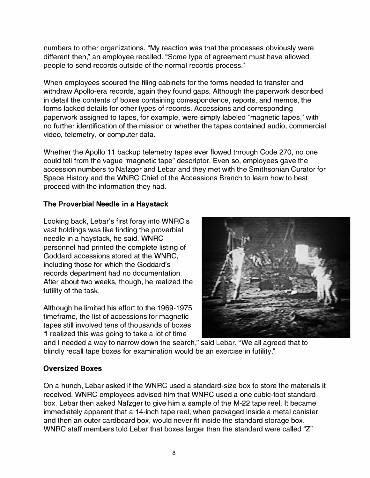numbers to other organizations. "My reaction was that the processes obviously were different then," an employee recalled. "Some type of agreement must have allowed people to send records outside of the normal records process."

When employees scoured the filing cabinets for the forms needed to transfer and withdraw Apollo-era records, again they found gaps. Although the paperwork described in detail the contents of boxes containing correspondence, reports, and memos, the forms lacked details for other types of records. Accessions and corresponding paperwork assigned to tapes, for example, were simply labeled "magnetic tapes," with no further identification of the mission or whether the tapes contained audio, commercial video, telemetry, or computer data.

Whether the Apollo 11 backup telemetry tapes ever flowed through Code 270, no one could tell from the vague "magnetic tape" descriptor. Even so, employees gave the accession numbers to Nafzger and Lebar and they met with the Smithsonian Curator for Space History and the WNRC Chief of the Accessions Branch to learn how to best proceed with the information they had.

## The Proverbial Needle in a Haystack

Looking back, Lebar's first foray into WNRC's vast holdings was like finding the proverbial needle in a haystack, he said. WNRC personnel had printed the complete listing of Goddard accessions stored at the WNRC, including those for which the Goddard's records department had no documentation. After about two weeks, though, he realized the futility of the task.

Although he limited his effort to the 1969-1975 timeframe, the list of accessions for magnetic tapes still involved tens of thousands of boxes. "I realized this was going to take a lot of time



and I needed a way to narrow down the search," said Lebar. "We all agreed that to blindly recall tape boxes for examination would be an exercise in futility."

## Oversized Boxes

On a hunch, Lebar asked if the WNRC used a standard-size box to store the materials it received. WNRC employees advised him that WNRC used a one cubic-foot standard box. Lebar then asked Nafzger to give him a sample of the M-22 tape reel. It became immediately apparent that a 14-inch tape reel, when packaged inside a metal canister and then an outer cardboard box, would never fit inside the standard storage box. WNRC staff members told Lebar that boxes larger than the standard were called "Z"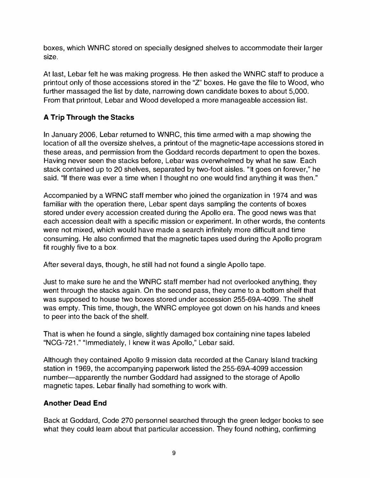boxes, which WNRC stored on specially designed shelves to accommodate their larger size.

At last, Lebar felt he was making progress. He then asked the WNRC staff to produce a printout only of those accessions stored in the "Z' boxes. He gave the file to Wood, who further massaged the list by date, narrowing down candidate boxes to about 5,000. From that printout, Lebar and Wood developed a more manageable accession list.

# A Trip Through the Stacks

In January 2006, Lebar returned to WNRC, this time armed with a map showing the location of all the oversize shelves, a printout of the magnetic-tape accessions stored in these areas, and permission from the Goddard records department to open the boxes. Having never seen the stacks before, Lebar was overwhelmed by what he saw. Each stack contained up to 20 shelves, separated by two-foot aisles. "It goes on forever," he said. "If there was ever a time when I thought no one would find anything it was then."

Accompanied by a WRNC staff member who joined the organization in 1974 and was familiar with the operation there, Lebar spent days sampling the contents of boxes stored under every accession created during the Apollo era. The good news was that each accession dealt with a specific mission or experiment. In other words, the contents were not mixed, which would have made a search infinitely more difficult and time consuming. He also confirmed that the magnetic tapes used during the Apollo program fit roughly five to a box.

After several days, though, he still had not found a single Apollo tape.

Just to make sure he and the WNRC staff member had not overlooked anything, they went through the stacks again. On the second pass, they came to a bottom shelf that was supposed to house two boxes stored under accession 255-69A-4099. The shelf was empty. This time, though, the WNRC employee got down on his hands and knees to peer into the back of the shelf.

That is when he found a single, slightly damaged box containing nine tapes labeled "NCG-721'" "Immediately, I knew it was Apollo," Lebar said.

Although they contained Apollo 9 mission data recorded at the Canary Island tracking station in 1969, the accompanying paperwork listed the 255-69A-4099 accession number-apparently the number Goddard had assigned to the storage of Apollo magnetic tapes. Lebar finally had something to work with.

# Another Dead End

Back at Goddard, Code 270 personnel searched through the green ledger books to see what they could learn about that particular accession. They found nothing, confirming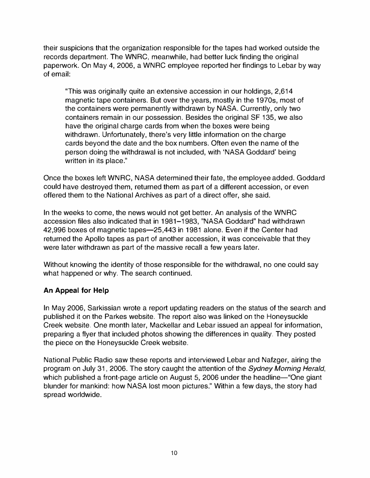their suspicions that the organization responsible for the tapes had worked outside the records department. The WNRC, meanwhile, had better luck finding the original paperwork. On May 4, 2006, a WNRC employee reported her findings to Lebar by way of email:

"This was originally quite an extensive accession in our holdings, 2,614 magnetic tape containers. But over the years, mostly in the 19705, most of the containers were permanently withdrawn by NASA. Currently, only two containers remain in our possession. Besides the original SF 135, we also have the original charge cards from when the boxes were being withdrawn. Unfortunately, there's very little information on the charge cards beyond the date and the box numbers. Often even the name of the person doing the withdrawal is not included, with 'NASA Goddard' being written in its place."

Once the boxes left WNRC, NASA determined their fate, the employee added. Goddard could have destroyed them, returned them as part of a different accession, or even offered them to the National Archives as part of a direct offer, she said.

In the weeks to come, the news would not get better. An analysis of the WNRC accession files also indicated that in 1981-1983, "NASA Goddard" had withdrawn 42,996 boxes of magnetic tapes-25,443 in 1981 alone. Even if the Center had returned the Apollo tapes as part of another accession, it was conceivable that they were later withdrawn as part of the massive recall a few years later.

Without knowing the identity of those responsible for the withdrawal, no one could say what happened or why. The search continued.

## An Appeal for Help

In May 2006, Sarkissian wrote a report updating readers on the status of the search and published it on the Parkes website. The report also was linked on the Honeysuckle Creek website. One month later, Mackellar and Lebar issued an appeal for information, preparing a flyer that included photos showing the differences in quality. They posted the piece on the Honeysuckle Creek website.

National Public Radio saw these reports and interviewed Lebar and Nafzger, airing the program on July 31, 2006. The story caught the attention of the Sydney Morning Herald, which published a front-page article on August 5, 2006 under the headline-"One giant blunder for mankind: how NASA lost moon pictures." Within a few days, the story had spread worldwide.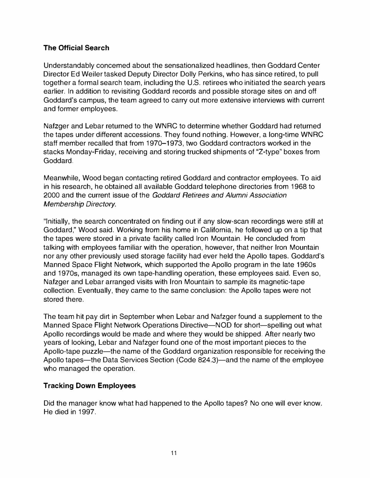#### The Official Search

Understandably concemed about the sensationalized headlines, then Goddard Center Director Ed Weiler tasked Deputy Director Dolly Perkins, who has since retired, to pull together a formal search team, including the U.S. retirees who initiated the search years earlier. In addition to revisiting Goddard records and possible storage sites on and off Goddard's campus, the team agreed to carry out more extensive interviews with current and former employees.

Nafzger and Lebar returned to the WNRC to determine whether Goddard had returned the tapes under different accessions. They found nothing. However, a long-time WNRC staff member recalled that from 1970-1973, two Goddard contractors worked in the stacks Monday-Friday, receiving and storing trucked shipments of "Z-type" boxes from Goddard.

Meanwhile, Wood began contacting retired Goddard and contractor employees. To aid in his research, he obtained all available Goddard telephone directories from 1968 to 2000 and the current issue of the Goddard Retirees and Alumni Association Membership Directory.

"Initially, the search concentrated on finding out if any slow-scan recordings were still at Goddard," Wood said. Working from his home in California, he followed up on a tip that the tapes were stored in a private facility called Iron Mountain. He concluded from talking with employees familiar with the operation, however, that neither Iron Mountain nor any other previously used storage facility had ever held the Apollo tapes. Goddard's Manned Space Flight Network, which supported the Apollo program in the late 1960s and 19705, managed its own tape-handling operation, these employees said. Even so, Nafzger and Lebar arranged visits with Iron Mountain to sample its magnetic-tape collection. Eventually, they came to the same conclusion: the Apollo tapes were not stored there.

The team hit pay dirt in September when Lebar and Nafzger found a supplement to the Manned Space Flight Network Operations Directive-NOD for short-spelling out what Apollo recordings would be made and where they would be shipped. After nearly two years of looking, Lebar and Nafzger found one of the most important pieces to the Apollo-tape puzzle—the name of the Goddard organization responsible for receiving the Apollo tapes-the Data Services Section (Code 824.3)-and the name of the employee who managed the operation.

## Tracking Down Employees

Did the manager know what had happened to the Apollo tapes? No one will ever know. He died in 1997.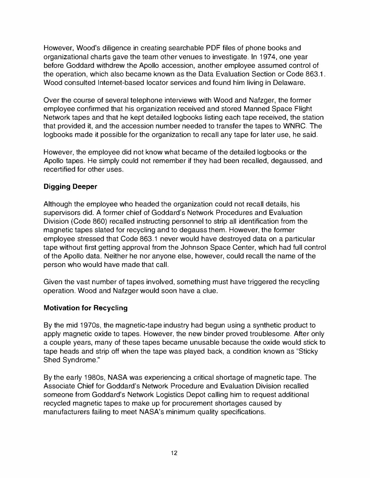However, Wood's diligence in creating searchable PDF files of phone books and organizational charts gave the team other venues to investigate. In 1974, one year before Goddard withdrew the Apollo accession, another employee assumed control of the operation, which also became known as the Data Evaluation Section or Code 863.1. Wood consulted Internet-based locator services and found him living in Delaware.

Over the course of several telephone interviews with Wood and Nafzger, the former employee confirmed that his organization received and stored Manned Space Flight Network tapes and that he kept detailed logbooks listing each tape received, the station that provided it, and the accession number needed to transfer the tapes to WNRC. The logbooks made it possible for the organization to recall any tape for later use, he said.

However, the employee did not know what became of the detailed logbooks or the Apollo tapes. He simply could not remember if they had been recalled, degaussed, and recertified for other uses.

## Digging Deeper

Allhough the employee who headed the organization could not recall details, his supervisors did. A former chief of Goddard's Network Procedures and Evaluation Division (Code 860) recalled instructing personnel to strip all identification from the magnetic tapes slated for recycling and to degauss them. However, the former employee stressed that Code 863.1 never would have destroyed data on a particular tape without first getting approval from the Johnson Space Center, which had full control of the Apollo data. Neither he nor anyone else, however, could recall the name of the person who would have made that call.

Given the vast number of tapes involved, something must have triggered the recycling operation. Wood and Nafzger would soon have a clue.

## Motivation for Recycling

By the mid 1970s, the magnetic-tape industry had begun using a synthetic product to apply magnetic oxide to tapes. However, the new binder proved troublesome. After only a couple years, many of these tapes became unusable because the oxide would stick to tape heads and strip off when the tape was played back, a condition known as "Sticky Shed Syndrome."

By the early 1980s, NASA was experiencing a critical shortage of magnetic tape. The Associate Chief for Goddard's Network Procedure and Evaluation Division recalled someone from Goddard's Network Logistics Depot calling him to request additional recycled magnetic tapes to make up for procurement shortages caused by manufacturers failing to meet NASA's minimum quality specifications.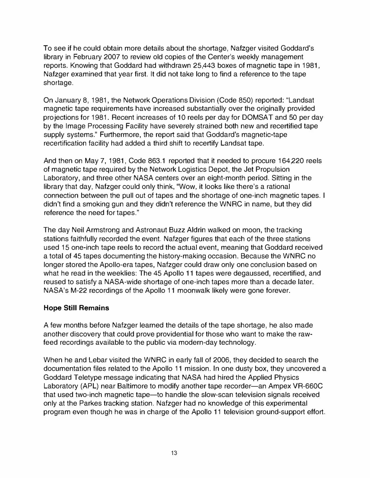To see if he could obtain more details about the shortage, Nafzger visited Goddard's library in February 2007 to review old copies of the Center's weekly management reports. Knowing that Goddard had withdrawn 25,443 boxes of magnetic tape in 1981, Nafzger examined that year first. It did not take long to find a reference to the tape shortage.

On January 8, 1981, the Network Operations Division (Code 850) reported: "Landsat magnetic tape requirements have increased substantially over the originally provided projections for 1981. Recent increases of 10 reels per day for DOMSAT and 50 per day by the Image Processing Facility have severely strained both new and recertified tape supply systems." Furthermore, the report said that Goddard's magnetic-tape recertification facility had added a third shift to recertify Landsat tape.

And then on May 7, 1981, Code 863.1 reported that it needed to procure 164,220 reels of magnetic tape required by the Network Logistics Depot, the Jet Propulsion Laboratory, and three other NASA centers over an eight-month period. Sitting in the library that day, Nafzger could only think, "Wow, it looks like there's a rational connection between the pull out of tapes and the shortage of one-inch magnetic tapes. I didn't find a smoking gun and they didn't reference the WNRC in name, but they did reference the need for tapes."

The day Neil Armstrong and Astronaut Buzz Aldrin walked on moon, the tracking stations faithfully recorded the event. Nafzger figures that each of the three stations used 15 one-inch tape reels to record the actual event, meaning that Goddard received a total of 45 tapes documenting the history-making occasion. Because the WNRC no longer stored the Apollo-era tapes, Nafzger could draw only one conclusion based on what he read in the weeklies: The 45 Apollo 11 tapes were degaussed, recertified, and reused to satisfy a NASA-wide shortage of one-inch tapes more than a decade later. NASA's M-22 recordings of the Apollo 11 moonwalk likely were gone forever.

## Hope Still Remains

A few months before Nafzger learned the details of the tape shortage, he also made another discovery that could prove providential for those who want to make the rawfeed recordings available to the public via modern-day technology.

When he and Lebar visited the WNRC in early fall of 2006, they decided to search the documentation files related to the Apollo 11 mission. In one dusty box, they uncovered a Goddard Teletype message indicating that NASA had hired the Applied Physics Laboratory (APL) near Baltimore to modify another tape recorder-an Ampex VR-660C that used two-inch magnetic tape-to handle the slow-scan television signals received only at the Parkes tracking station. Nafzger had no knowledge of this experimental program even though he was in charge of the Apollo 11 television ground-support effort.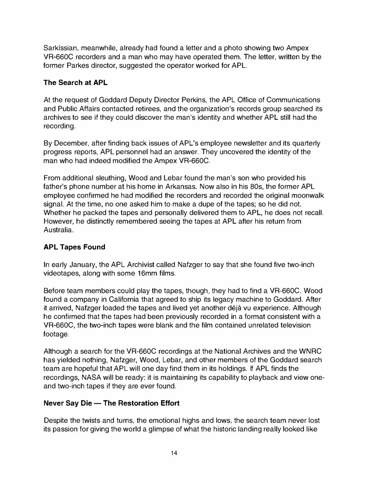Sarkissian, meanwhile, already had found a letter and a photo showing two Ampex VR-660C recorders and a man who may have operated them. The letter, written by the former Parkes director, suggested the operator worked for APL.

## The Search at APL

At the request of Goddard Deputy Director Perkins, the APL Office of Communications and Public Affairs contacted retirees, and the organization's records group searched its archives to see if they could discover the man's identity and whether APL still had the recording.

By December, after finding back issues of APL's employee newsletter and its quarterly progress reports, APL personnel had an answer. They uncovered the identity of the man who had indeed modified the Ampex VR-660C.

From additional sleuthing, Wood and Lebar found the man's son who provided his father's phone number at his home in Arkansas. Now also in his 80s, the former APL employee confirmed he had modified the recorders and recorded the original moonwalk signal. At the time, no one asked him to make a dupe of the tapes; so he did not. Whether he packed the tapes and personally delivered them to APL, he does not recall. However, he distinctly remembered seeing the tapes at APL after his return from Australia.

## APL Tapes Found

In early January, the APL Archivist called Nafzger to say that she found five two-inch videotapes, along with some 16mm films.

Before team members could play the tapes, though, they had to find a VR-660C. Wood found a company in California that agreed to ship its legacy machine to Goddard. After it arrived, Nafzger loaded the tapes and lived yet another déjà vu experience. Although he confirmed that the tapes had been previously recorded in a format consistent with a VR-660C, the two-inch tapes were blank and the film contained unrelated television footage.

Although a search for the VR-660C recordings at the National Archives and the WNRC has yielded nothing, Nafzger, Wood, Lebar, and other members of the Goddard search team are hopeful that APL will one day find them in its holdings. If APL finds the recordings, NASA will be ready: it is maintaining its capability to playback and view oneand two-inch tapes if they are ever found.

## Never Say Die - The Restoration Effort

Despite the twists and turns, the emotional highs and lows, the search team never lost its passion for giving the world a glimpse of what the historic landing really looked like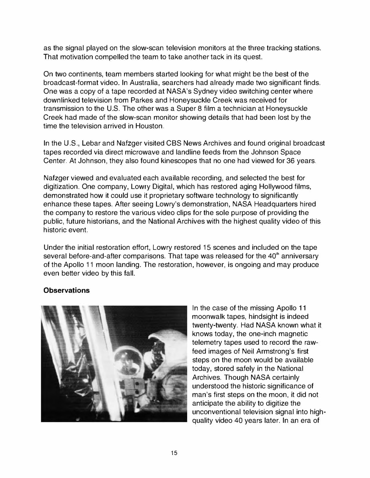as the signal played on the slow-scan television monitors at the three tracking stations. That motivation compelled the team to take another tack in its quest.

On two continents, team members started looking for what might be the best of the broadcast-format video. In Australia, searchers had already made two significant finds. One was a copy of a tape recorded at NASA's Sydney video switching center where downlinked television from Parkes and Honeysuckle Creek was received for transmission to the U.S. The other was a Super 8 film a technician at Honeysuckle Creek had made of the slow-scan monitor showing details that had been lost by the time the television arrived in Houston.

In the U.S., Lebar and Nafzger visited CBS News Archives and found original broadcast tapes recorded via direct microwave and landline feeds from the Johnson Space Center. At Johnson, they also found kinescopes that no one had viewed for 36 years.

Nafzger viewed and evaluated each available recording, and selected the best for digitization. One company, Lowry Digital, which has restored aging Hollywood films, demonstrated how it could use it proprietary software technology to significantly enhance these tapes. After seeing Lowry's demonstration, NASA Headquarters hired the company to restore the various video clips for the sole purpose of providing the public, future historians, and the National Archives with the highest quality video of this historic event.

Under the initial restoration effort, Lowry restored 15 scenes and included on the tape several before-and-after comparisons. That tape was released for the 40<sup>th</sup> anniversary of the Apollo 11 moon landing. The restoration, however, is ongoing and may produce even better video by this fall.

## **Observations**



In the case of the missing Apollo 11 moonwalk tapes, hindsight is indeed twenty-twenty. Had NASA known what it knows today, the one-inch magnetic telemetry tapes used to record the rawfeed images of Neil Armstrong's first steps on the moon would be available today, stored safely in the National Archives. Though NASA certainly understood the historic significance of man's first steps on the moon, it did not anticipate the ability to digitize the unconventional television signal into highquality video 40 years later. In an era of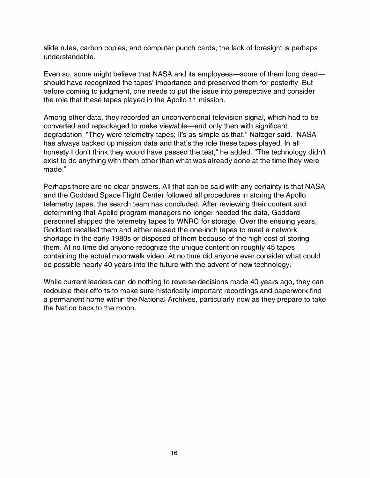slide rules, carbon copies, and computer punch cards, the lack of foresight is perhaps understandable.

Even so, some might believe that NASA and its employees—some of them long dead should have recognized the tapes' importance and preserved them for posterity. But before coming to judgment, one needs to put the issue into perspective and consider the role that these tapes played in the Apollo 11 mission.

Among other data, they recorded an unconventional television signal, which had to be converted and repackaged to make viewable-and only then with significant degradation. "They were telemetry tapes; it's as simple as that," Nafzger said. "NASA has always backed up mission data and that's the role these tapes played. In all honesty I don't think they would have passed the test," he added. "The technology didn't exist to do anything with them other than what was already done at the time they were made."

Perhaps there are no clear answers. All that can be said with any certainty is that NASA and the Goddard Space Flight Center followed all procedures in storing the Apollo telemetry tapes, the search team has concluded. After reviewing their content and determining that Apollo program managers no longer needed the data, Goddard personnel shipped the telemetry tapes to WNRC for storage. Over the ensuing years, Goddard recalled them and either reused the one-inch tapes to meel a network shortage in the early 1980s or disposed of them because of the high cost of storing them. At no time did anyone recognize the unique content on roughly 45 tapes containing the actual moonwalk video. At no time did anyone ever consider what could be possible nearly 40 years into the future with the advent of new technology.

While current leaders can do nothing to reverse decisions made 40 years ago, they can redouble their efforts to make sure historically important recordings and paperwork find a permanent home within the National Archives, particularly now as they prepare to take the Nation back to the moon.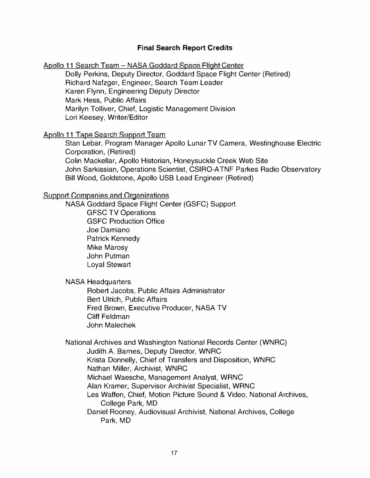#### Final Search Report Credits

Apollo 11 Search Team - NASA Goddard Space Flight Center

Dolly Perkins, Deputy Director, Goddard Space Flight Center (Retired) Richard Nafzger, Engineer, Search Team Leader Karen Flynn, Engineering Deputy Director Mark Hess, Public Affairs Marilyn Tolliver, Chief, Logistic Management Division Lori Keesey, Writer/Editor

#### Apollo 11 Tape Search Support Team

Stan Lebar, Program Manager Apollo Lunar TV Camera, Westinghouse Electric Corporation, (Retired) Colin Mackellar, Apollo Historian, Honeysuckle Creek Web Site John Sarkissian, Operations Scientist, CSIRO-ATNF Parkes Radio Observatory Bill Wood, Goldstone, Apollo USB Lead Engineer (Retired)

#### Support Companies and Organizations

NASA Goddard Space Flight Center (GSFC) Support GFSC TV Operations GSFC Production Office Joe Damiano Patrick Kennedy Mike Marosy John Putman Loyal Stewart

#### NASA Headquarters

Robert Jacobs, Public Affairs Administrator Bert Ulrich, Public Affairs Fred Brown, Executive Producer, NASA TV Cliff Feldman John Malechek

National Archives and Washington National Records Center (WNRC) Judith A. Barnes, Deputy Director, WNRC Krista Donnelly, Chief of Transfers and Disposition, WNRC Nathan Miller, Archivist, WNRC Michael Waesche, Management Analyst, WRNC Alan Kramer, Supervisor Archivist Specialist, WRNC Les Waffen, Chief, Motion Picture Sound & Video, National Archives, College Park, MD Daniel Rooney, Audiovisual Archivist, National Archives, College Park, MD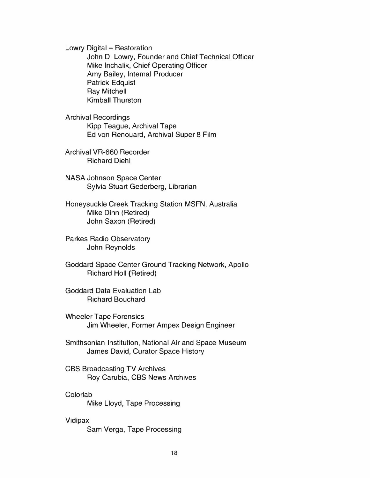Lowry Digital - Restoration John D. Lowry, Founder and Chief Technical Officer Mike Inchalik, Chief Operating Officer Amy Bailey, Intemal Producer Patrick Edquist Ray Mitchell Kimball Thurston

Archival Recordings Kipp Teague, Archival Tape Ed von Renouard, Archival Super 8 Film

Archival VR-660 Recorder Richard Diehl

NASA Johnson Space Center Sylvia Stuart Gederberg, Librarian

Honeysuckle Creek Tracking Station MSFN, Australia Mike Dinn (Retired) John Saxon (Retired)

Parkes Radio Observatory John Reynolds

Goddard Space Center Ground Tracking Network, Apollo Richard Holl (Retired)

Goddard Data Evaluation Lab Richard Bouchard

Wheeler Tape Forensics Jim Wheeler, Former Ampex Design Engineer

Smithsonian Institution, National Air and Space Museum James David, Curator Space History

CBS Broadcasting TV Archives Roy Carubia, CBS News Archives

#### Colorlab

Mike Lloyd, Tape Processing

#### Vidipax

Sam Verga, Tape Processing